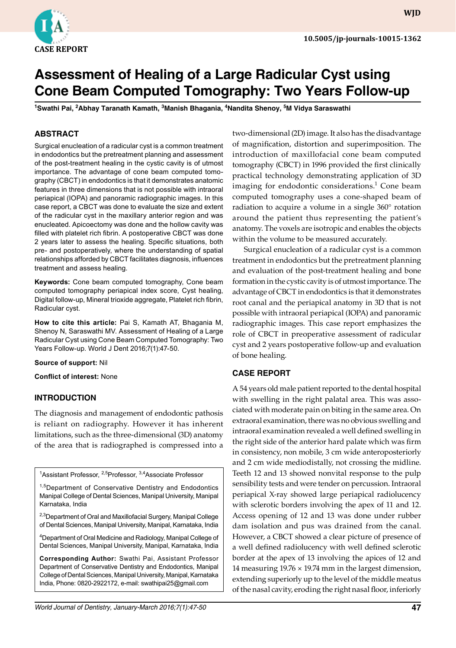

**WJD**

# **Assessment of Healing of a Large Radicular Cyst using Cone Beam Computed Tomography: Two Years Follow-up**

**<sup>1</sup>Swathi Pai, 2Abhay Taranath Kamath, 3Manish Bhagania, 4Nandita Shenoy, 5M Vidya Saraswathi** 

## **ABSTRACT**

Surgical enucleation of a radicular cyst is a common treatment in endodontics but the pretreatment planning and assessment of the post-treatment healing in the cystic cavity is of utmost importance. The advantage of cone beam computed tomography (CBCT) in endodontics is that it demonstrates anatomic features in three dimensions that is not possible with intraoral periapical (IOPA) and panoramic radiographic images. In this case report, a CBCT was done to evaluate the size and extent of the radicular cyst in the maxillary anterior region and was enucleated. Apicoectomy was done and the hollow cavity was filled with platelet rich fibrin. A postoperative CBCT was done 2 years later to assess the healing. Specific situations, both pre- and postoperatively, where the understanding of spatial relationships afforded by CBCT facilitates diagnosis, influences treatment and assess healing.

**Keywords:** Cone beam computed tomography, Cone beam computed tomography periapical index score, Cyst healing, Digital follow-up, Mineral trioxide aggregate, Platelet rich fibrin, Radicular cyst.

**How to cite this article:** Pai S, Kamath AT, Bhagania M, Shenoy N, Saraswathi MV. Assessment of Healing of a Large Radicular Cyst using Cone Beam Computed Tomography: Two Years Follow-up. World J Dent 2016;7(1):47-50.

#### **Source of support:** Nil

**Conflict of interest:** None

#### **INTRoduCTIoN**

The diagnosis and management of endodontic pathosis is reliant on radiography. However it has inherent limitations, such as the three-dimensional (3D) anatomy of the area that is radiographed is compressed into a

<sup>1</sup>Assistant Professor, <sup>2,5</sup>Professor, <sup>3,4</sup>Associate Professor

<sup>1,5</sup>Department of Conservative Dentistry and Endodontics Manipal College of Dental Sciences, Manipal University, Manipal Karnataka, India

2,3Department of Oral and Maxillofacial Surgery, Manipal College of Dental Sciences, Manipal University, Manipal, Karnataka, India

<sup>4</sup>Department of Oral Medicine and Radiology, Manipal College of Dental Sciences, Manipal University, Manipal, Karnataka, India

**Corresponding Author:** Swathi Pai, Assistant Professor Department of Conservative Dentistry and Endodontics, Manipal College of Dental Sciences, Manipal University, Manipal, Karnataka India, Phone: 0820-2922172, e-mail: swathipai25@gmail.com

two-dimensional (2D) image. It also has the disadvantage of magnification, distortion and superimposition. The introduction of maxillofacial cone beam computed tomography (CBCT) in 1996 provided the first clinically practical technology demonstrating application of 3D imaging for endodontic considerations. $^1$  Cone beam computed tomography uses a cone-shaped beam of radiation to acquire a volume in a single 360° rotation around the patient thus representing the patient's anatomy. The voxels are isotropic and enables the objects within the volume to be measured accurately.

Surgical enucleation of a radicular cyst is a common treatment in endodontics but the pretreatment planning and evaluation of the post-treatment healing and bone formation in the cystic cavity is of utmost importance. The advantage of CBCT in endodontics is that it demonstrates root canal and the periapical anatomy in 3D that is not possible with intraoral periapical (IOPA) and panoramic radiographic images. This case report emphasizes the role of CBCT in preoperative assessment of radicular cyst and 2 years postoperative follow-up and evaluation of bone healing.

## **CASe RePoRT**

A 54 years old male patient reported to the dental hospital with swelling in the right palatal area. This was associated with moderate pain on biting in the same area. On extraoral examination, there was no obvious swelling and intraoral examination revealed a well defined swelling in the right side of the anterior hard palate which was firm in consistency, non mobile, 3 cm wide anteroposteriorly and 2 cm wide mediodistally, not crossing the midline. Teeth 12 and 13 showed nonvital response to the pulp sensibility tests and were tender on percussion. Intraoral periapical X-ray showed large periapical radiolucency with sclerotic borders involving the apex of 11 and 12. Access opening of 12 and 13 was done under rubber dam isolation and pus was drained from the canal. However, a CBCT showed a clear picture of presence of a well defined radiolucency with well defined sclerotic border at the apex of 13 involving the apices of 12 and 14 measuring 19.76 × 19.74 mm in the largest dimension, extending superiorly up to the level of the middle meatus of the nasal cavity, eroding the right nasal floor, inferiorly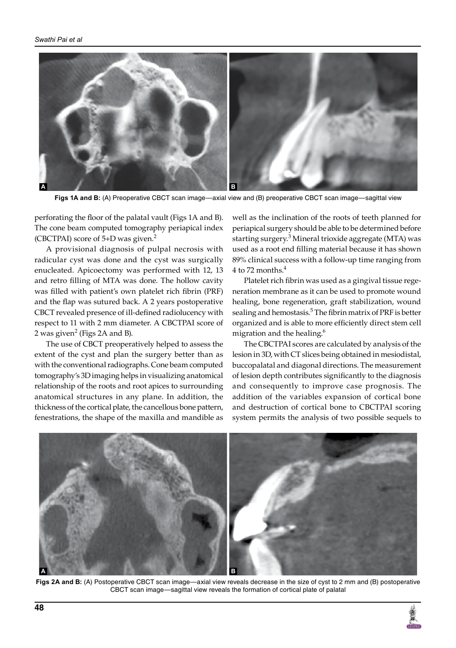

**Figs 1A and B:** (A) Preoperative CBCT scan image—axial view and (B) preoperative CBCT scan image—sagittal view

perforating the floor of the palatal vault (Figs 1A and B). The cone beam computed tomography periapical index (CBCTPAI) score of  $5+D$  was given.<sup>2</sup>

A provisional diagnosis of pulpal necrosis with radicular cyst was done and the cyst was surgically enucleated. Apicoectomy was performed with 12, 13 and retro filling of MTA was done. The hollow cavity was filled with patient's own platelet rich fibrin (PRF) and the flap was sutured back. A 2 years postoperative CBCT revealed presence of ill-defined radiolucency with respect to 11 with 2 mm diameter. A CBCTPAI score of 2 was given $^2$  (Figs 2A and B).

The use of CBCT preoperatively helped to assess the extent of the cyst and plan the surgery better than as with the conventional radiographs. Cone beam computed tomography's 3D imaging helps in visualizing anatomical relationship of the roots and root apices to surrounding anatomical structures in any plane. In addition, the thickness of the cortical plate, the cancellous bone pattern, fenestrations, the shape of the maxilla and mandible as

well as the inclination of the roots of teeth planned for periapical surgery should be able to be determined before starting surgery.<sup>3</sup> Mineral trioxide aggregate (MTA) was used as a root end filling material because it has shown 89% clinical success with a follow-up time ranging from  $4$  to 72 months. $^4$ 

Platelet rich fibrin was used as a gingival tissue regeneration membrane as it can be used to promote wound healing, bone regeneration, graft stabilization, wound sealing and hemostasis.<sup>5</sup> The fibrin matrix of PRF is better organized and is able to more efficiently direct stem cell migration and the healing.<sup>6</sup>

The CBCTPAI scores are calculated by analysis of the lesion in 3D, with CT slices being obtained in mesiodistal, buccopalatal and diagonal directions. The measurement of lesion depth contributes significantly to the diagnosis and consequently to improve case prognosis. The addition of the variables expansion of cortical bone and destruction of cortical bone to CBCTPAI scoring system permits the analysis of two possible sequels to



**Figs 2A and B:** (A) Postoperative CBCT scan image—axial view reveals decrease in the size of cyst to 2 mm and (B) postoperative CBCT scan image—sagittal view reveals the formation of cortical plate of palatal

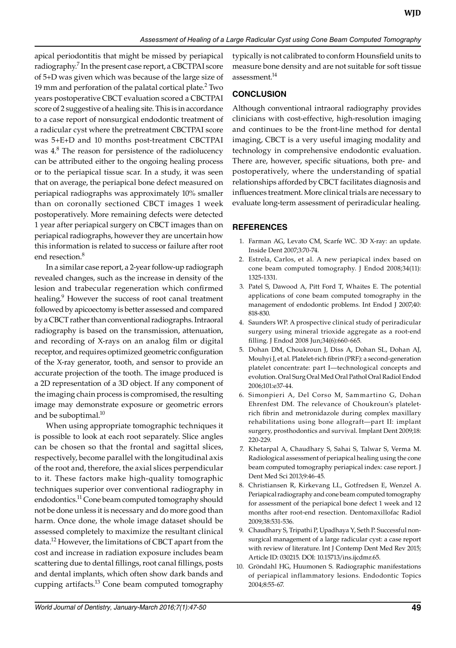apical periodontitis that might be missed by periapical radiography.<sup>7</sup> In the present case report, a CBCTPAI score of 5+D was given which was because of the large size of 19 mm and perforation of the palatal cortical plate. $2$  Two years postoperative CBCT evaluation scored a CBCTPAI score of 2 suggestive of a healing site. This is in accordance to a case report of nonsurgical endodontic treatment of a radicular cyst where the pretreatment CBCTPAI score was 5+E+D and 10 months post-treatment CBCTPAI was 4.<sup>8</sup> The reason for persistence of the radiolucency can be attributed either to the ongoing healing process or to the periapical tissue scar. In a study, it was seen that on average, the periapical bone defect measured on periapical radiographs was approximately 10% smaller than on coronally sectioned CBCT images 1 week postoperatively. More remaining defects were detected 1 year after periapical surgery on CBCT images than on periapical radiographs, however they are uncertain how this information is related to success or failure after root end resection.<sup>8</sup>

In a similar case report, a 2-year follow-up radiograph revealed changes, such as the increase in density of the lesion and trabecular regeneration which confirmed healing.<sup>9</sup> However the success of root canal treatment followed by apicoectomy is better assessed and compared by a CBCT rather than conventional radiographs. Intraoral radiography is based on the transmission, attenuation, and recording of X-rays on an analog film or digital receptor, and requires optimized geometric configuration of the X-ray generator, tooth, and sensor to provide an accurate projection of the tooth. The image produced is a 2D representation of a 3D object. If any component of the imaging chain process is compromised, the resulting image may demonstrate exposure or geometric errors and be suboptimal.<sup>10</sup>

When using appropriate tomographic techniques it is possible to look at each root separately. Slice angles can be chosen so that the frontal and sagittal slices, respectively, become parallel with the longitudinal axis of the root and, therefore, the axial slices perpendicular to it. These factors make high-quality tomographic techniques superior over conventional radiography in endodontics.<sup>11</sup> Cone beam computed tomography should not be done unless it is necessary and do more good than harm. Once done, the whole image dataset should be assessed completely to maximize the resultant clinical data.12 However, the limitations of CBCT apart from the cost and increase in radiation exposure includes beam scattering due to dental fillings, root canal fillings, posts and dental implants, which often show dark bands and cupping artifacts.<sup>13</sup> Cone beam computed tomography

typically is not calibrated to conform Hounsfield units to measure bone density and are not suitable for soft tissue assessment.<sup>14</sup>

# **CoNCLuSIoN**

Although conventional intraoral radiography provides clinicians with cost-effective, high-resolution imaging and continues to be the front-line method for dental imaging, CBCT is a very useful imaging modality and technology in comprehensive endodontic evaluation. There are, however, specific situations, both pre- and postoperatively, where the understanding of spatial relationships afforded by CBCT facilitates diagnosis and influences treatment. More clinical trials are necessary to evaluate long-term assessment of periradicular healing.

## **ReFeReNCeS**

- 1. Farman AG, Levato CM, Scarfe WC. 3D X-ray: an update. Inside Dent 2007;3:70-74.
- 2. Estrela, Carlos, et al. A new periapical index based on cone beam computed tomography. J Endod 2008;34(11): 1325-1331.
- 3. Patel S, Dawood A, Pitt Ford T, Whaites E. The potential applications of cone beam computed tomography in the management of endodontic problems. Int Endod J 2007;40: 818-830.
- 4. Saunders WP. A prospective clinical study of periradicular surgery using mineral trioxide aggregate as a root-end filling. J Endod 2008 Jun;34(6):660-665.
- 5. Dohan DM, Choukroun J, Diss A, Dohan SL, Dohan AJ, Mouhyi J, et al. Platelet-rich fibrin (PRF): a second-generation platelet concentrate: part I—technological concepts and evolution. Oral Surg Oral Med Oral Pathol Oral Radiol Endod 2006;101:e37-44.
- 6. Simonpieri A, Del Corso M, Sammartino G, Dohan Ehrenfest DM. The relevance of Choukroun's plateletrich fibrin and metronidazole during complex maxillary rehabilitations using bone allograft-part II: implant surgery, prosthodontics and survival. Implant Dent 2009;18: 220-229.
- 7. Khetarpal A, Chaudhary S, Sahai S, Talwar S, Verma M. Radiological assessment of periapical healing using the cone beam computed tomography periapical index: case report. J Dent Med Sci 2013;9:46-45.
- 8. Christiansen R, Kirkevang LL, Gotfredsen E, Wenzel A. Periapical radiography and cone beam computed tomography for assessment of the periapical bone defect 1 week and 12 months after root-end resection. Dentomaxillofac Radiol 2009;38:531-536.
- 9. Chaudhary S, Tripathi P, Upadhaya Y, Seth P. Successful nonsurgical management of a large radicular cyst: a case report with review of literature. Int J Contemp Dent Med Rev 2015; Article ID: 030215. DOI: 10.15713/ins.ijcdmr.65.
- 10. Gröndahl HG, Huumonen S. Radiographic manifestations of periapical inflammatory lesions. Endodontic Topics 2004;8:55-67.